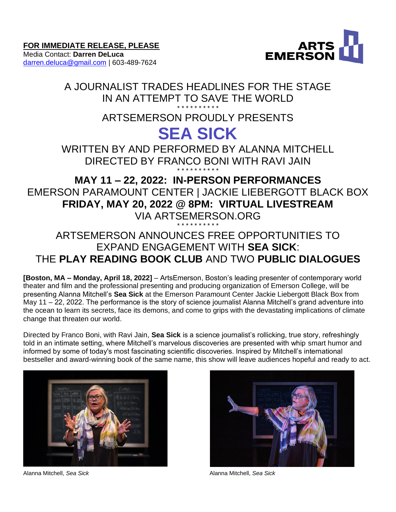Media Contact: **Darren DeLuca** [darren.deluca@gmail.com](mailto:darren.deluca@gmail.com) | 603-489-7624



# A JOURNALIST TRADES HEADLINES FOR THE STAGE IN AN ATTEMPT TO SAVE THE WORLD

# \* \* \* \* \* \* \* \* \* \* ARTSEMERSON PROUDLY PRESENTS

# **SEA SICK**

WRITTEN BY AND PERFORMED BY ALANNA MITCHELL DIRECTED BY FRANCO BONI WITH RAVI JAIN \* \* \* \* \* \* \* \* \* \*

# **MAY 11 – 22, 2022: IN-PERSON PERFORMANCES** EMERSON PARAMOUNT CENTER | JACKIE LIEBERGOTT BLACK BOX **FRIDAY, MAY 20, 2022 @ 8PM: VIRTUAL LIVESTREAM** VIA ARTSEMERSON.ORG \* \* \* \* \* \* \* \* \* \*

# ARTSEMERSON ANNOUNCES FREE OPPORTUNITIES TO EXPAND ENGAGEMENT WITH **SEA SICK**: THE **PLAY READING BOOK CLUB** AND TWO **PUBLIC DIALOGUES**

**[Boston, MA – Monday, April 18, 2022]** – ArtsEmerson, Boston's leading presenter of contemporary world theater and film and the professional presenting and producing organization of Emerson College, will be presenting Alanna Mitchell's **Sea Sick** at the Emerson Paramount Center Jackie Liebergott Black Box from May 11 – 22, 2022. The performance is the story of science journalist Alanna Mitchell's grand adventure into the ocean to learn its secrets, face its demons, and come to grips with the devastating implications of climate change that threaten our world.

Directed by Franco Boni, with Ravi Jain, **Sea Sick** is a science journalist's rollicking, true story, refreshingly told in an intimate setting, where Mitchell's marvelous discoveries are presented with whip smart humor and informed by some of today's most fascinating scientific discoveries. Inspired by Mitchell's international bestseller and award-winning book of the same name, this show will leave audiences hopeful and ready to act.





Alanna Mitchell, *Sea Sick* Alanna Mitchell, *Sea Sick*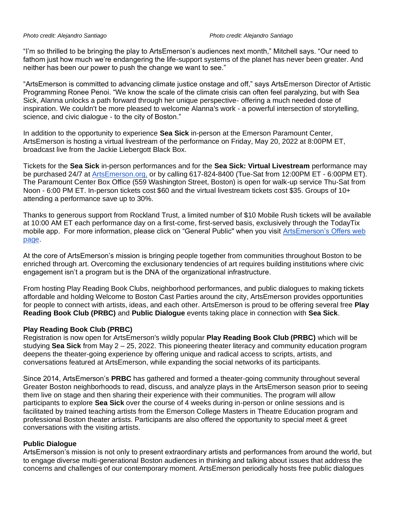"I'm so thrilled to be bringing the play to ArtsEmerson's audiences next month," Mitchell says. "Our need to fathom just how much we're endangering the life-support systems of the planet has never been greater. And neither has been our power to push the change we want to see."

"ArtsEmerson is committed to advancing climate justice onstage and off," says ArtsEmerson Director of Artistic Programming Ronee Penoi. "We know the scale of the climate crisis can often feel paralyzing, but with Sea Sick, Alanna unlocks a path forward through her unique perspective- offering a much needed dose of inspiration. We couldn't be more pleased to welcome Alanna's work - a powerful intersection of storytelling, science, and civic dialogue - to the city of Boston."

In addition to the opportunity to experience **Sea Sick** in-person at the Emerson Paramount Center, ArtsEmerson is hosting a virtual livestream of the performance on Friday, May 20, 2022 at 8:00PM ET, broadcast live from the Jackie Liebergott Black Box.

Tickets for the **Sea Sick** in-person performances and for the **Sea Sick: Virtual Livestream** performance may be purchased 24/7 at [ArtsEmerson.org,](https://artsemerson.org/events/iphigenia/) or by calling 617-824-8400 (Tue-Sat from 12:00PM ET - 6:00PM ET). The Paramount Center Box Office (559 Washington Street, Boston) is open for walk-up service Thu-Sat from Noon - 6:00 PM ET. In-person tickets cost \$60 and the virtual livestream tickets cost \$35. Groups of 10+ attending a performance save up to 30%.

Thanks to generous support from Rockland Trust, a limited number of \$10 Mobile Rush tickets will be available at 10:00 AM ET each performance day on a first-come, first-served basis, exclusively through the TodayTix mobile app. For more information, please click on "General Public'' when you visit [ArtsEmerson's Offers web](https://artsemerson.org/packages-offers/offers/)  [page.](https://artsemerson.org/packages-offers/offers/)

At the core of ArtsEmerson's mission is bringing people together from communities throughout Boston to be enriched through art. Overcoming the exclusionary tendencies of art requires building institutions where civic engagement isn't a program but is the DNA of the organizational infrastructure.

From hosting Play Reading Book Clubs, neighborhood performances, and public dialogues to making tickets affordable and holding Welcome to Boston Cast Parties around the city, ArtsEmerson provides opportunities for people to connect with artists, ideas, and each other. ArtsEmerson is proud to be offering several free **Play Reading Book Club (PRBC)** and **Public Dialogue** events taking place in connection with **Sea Sick**.

# **Play Reading Book Club (PRBC)**

Registration is now open for ArtsEmerson's wildly popular **Play Reading Book Club (PRBC)** which will be studying **Sea Sick** from May 2 – 25, 2022. This pioneering theater literacy and community education program deepens the theater-going experience by offering unique and radical access to scripts, artists, and conversations featured at ArtsEmerson, while expanding the social networks of its participants.

Since 2014, ArtsEmerson's **PRBC** has gathered and formed a theater-going community throughout several Greater Boston neighborhoods to read, discuss, and analyze plays in the ArtsEmerson season prior to seeing them live on stage and then sharing their experience with their communities. The program will allow participants to explore **Sea Sick** over the course of 4 weeks during in-person or online sessions and is facilitated by trained teaching artists from the Emerson College Masters in Theatre Education program and professional Boston theater artists. Participants are also offered the opportunity to special meet & greet conversations with the visiting artists.

# **Public Dialogue**

ArtsEmerson's mission is not only to present extraordinary artists and performances from around the world, but to engage diverse multi-generational Boston audiences in thinking and talking about issues that address the concerns and challenges of our contemporary moment. ArtsEmerson periodically hosts free public dialogues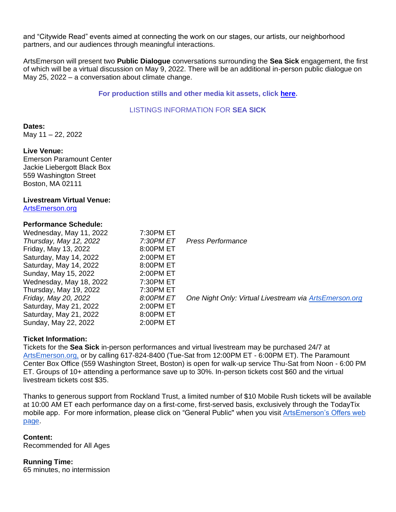and "Citywide Read" events aimed at connecting the work on our stages, our artists, our neighborhood partners, and our audiences through meaningful interactions.

ArtsEmerson will present two **Public Dialogue** conversations surrounding the **Sea Sick** engagement, the first of which will be a virtual discussion on May 9, 2022. There will be an additional in-person public dialogue on May 25, 2022 – a conversation about climate change.

# **For production stills and other media kit assets, click [here.](https://tickets.artsemerson.org/Online/default.asp?doWork::WScontent::loadArticle=Load&BOparam::WScontent::loadArticle::article_id=43D7A14F-4BFA-4D05-8429-AC1117386E26)**

# LISTINGS INFORMATION FOR **SEA SICK**

**Dates:** May 11 – 22, 2022

#### **Live Venue:**

Emerson Paramount Center Jackie Liebergott Black Box 559 Washington Street Boston, MA 02111

# **Livestream Virtual Venue:**

[ArtsEmerson.org](http://artsemerson.org/)

### **Performance Schedule:**

| Wednesday, May 11, 2022<br>Thursday, May 12, 2022<br>Friday, May 13, 2022<br>Saturday, May 14, 2022<br>Saturday, May 14, 2022<br>Sunday, May 15, 2022 | 7:30PM ET<br>7:30PM ET<br>8:00PM ET<br>2:00PM ET<br>8:00PM ET<br>2:00PM ET | Press Performance                                      |
|-------------------------------------------------------------------------------------------------------------------------------------------------------|----------------------------------------------------------------------------|--------------------------------------------------------|
| Wednesday, May 18, 2022<br>Thursday, May 19, 2022<br>Friday, May 20, 2022<br>Saturday, May 21, 2022<br>Saturday, May 21, 2022<br>Sunday, May 22, 2022 | 7:30PM ET<br>7:30PM ET<br>8:00PM ET<br>2:00PM ET<br>8:00PM ET<br>2:00PM ET | One Night Only: Virtual Livestream via ArtsEmerson.org |

### **Ticket Information:**

Tickets for the **Sea Sick** in-person performances and virtual livestream may be purchased 24/7 at [ArtsEmerson.org,](https://artsemerson.org/events/iphigenia/) or by calling 617-824-8400 (Tue-Sat from 12:00PM ET - 6:00PM ET). The Paramount Center Box Office (559 Washington Street, Boston) is open for walk-up service Thu-Sat from Noon - 6:00 PM ET. Groups of 10+ attending a performance save up to 30%. In-person tickets cost \$60 and the virtual livestream tickets cost \$35.

Thanks to generous support from Rockland Trust, a limited number of \$10 Mobile Rush tickets will be available at 10:00 AM ET each performance day on a first-come, first-served basis, exclusively through the TodayTix mobile app. For more information, please click on "General Public'' when you visit [ArtsEmerson's Offers web](https://artsemerson.org/packages-offers/offers/)  [page.](https://artsemerson.org/packages-offers/offers/)

# **Content:**

Recommended for All Ages

### **Running Time:**

65 minutes, no intermission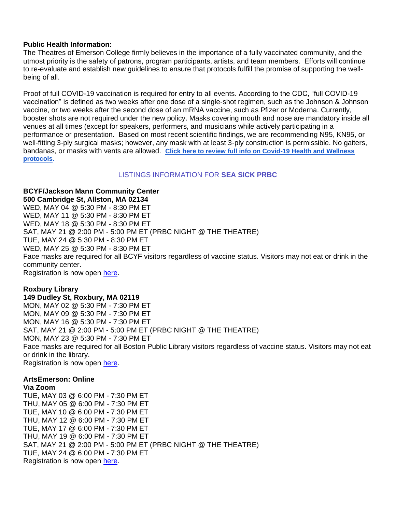# **Public Health Information:**

The Theatres of Emerson College firmly believes in the importance of a fully vaccinated community, and the utmost priority is the safety of patrons, program participants, artists, and team members. Efforts will continue to re-evaluate and establish new guidelines to ensure that protocols fulfill the promise of supporting the wellbeing of all.

Proof of full COVID-19 vaccination is required for entry to all events. According to the CDC, "full COVID-19 vaccination" is defined as two weeks after one dose of a single-shot regimen, such as the Johnson & Johnson vaccine, or two weeks after the second dose of an mRNA vaccine, such as Pfizer or Moderna. Currently, booster shots are not required under the new policy. Masks covering mouth and nose are mandatory inside all venues at all times (except for speakers, performers, and musicians while actively participating in a performance or presentation. Based on most recent scientific findings, we are recommending N95, KN95, or well-fitting 3-ply surgical masks; however, any mask with at least 3-ply construction is permissible. No gaiters, bandanas, or masks with vents are allowed. **[Click here to review full info on Covid-19 Health and Wellness](https://artsemerson.org/visit/public-health/)  [protocols.](https://artsemerson.org/visit/public-health/)**

# LISTINGS INFORMATION FOR **SEA SICK PRBC**

**BCYF/Jackson Mann Community Center 500 Cambridge St, Allston, MA 02134** WED, MAY 04 @ 5:30 PM - 8:30 PM ET WED, MAY 11 @ 5:30 PM - 8:30 PM ET WED, MAY 18 @ 5:30 PM - 8:30 PM ET SAT, MAY 21 @ 2:00 PM - 5:00 PM ET (PRBC NIGHT @ THE THEATRE) TUE, MAY 24 @ 5:30 PM - 8:30 PM ET WED, MAY 25 @ 5:30 PM - 8:30 PM ET Face masks are required for all BCYF visitors regardless of vaccine status. Visitors may not eat or drink in the community center. Registration is now open [here.](https://tickets.artsemerson.org/online/seatSelect.asp?createBO::WSmap=1&BOparam::WSmap::loadBestAvailable::performance_ids=75E930CE-4E8F-4354-AD49-BAB6EF18AA8B)

# **Roxbury Library**

**149 Dudley St, Roxbury, MA 02119** MON, MAY 02 @ 5:30 PM - 7:30 PM ET MON, MAY 09 @ 5:30 PM - 7:30 PM ET MON, MAY 16 @ 5:30 PM - 7:30 PM ET SAT, MAY 21 @ 2:00 PM - 5:00 PM ET (PRBC NIGHT @ THE THEATRE) MON, MAY 23 @ 5:30 PM - 7:30 PM ET Face masks are required for all Boston Public Library visitors regardless of vaccine status. Visitors may not eat or drink in the library. Registration is now open [here.](https://tickets.artsemerson.org/online/seatSelect.asp?createBO::WSmap=1&BOparam::WSmap::loadBestAvailable::performance_ids=F674DB56-6CD3-4A04-AE9E-57E7CA403AEF)

#### **ArtsEmerson: Online Via Zoom**

TUE, MAY 03 @ 6:00 PM - 7:30 PM ET THU, MAY 05 @ 6:00 PM - 7:30 PM ET TUE, MAY 10 @ 6:00 PM - 7:30 PM ET THU, MAY 12 @ 6:00 PM - 7:30 PM ET TUE, MAY 17 @ 6:00 PM - 7:30 PM ET THU, MAY 19 @ 6:00 PM - 7:30 PM ET SAT, MAY 21 @ 2:00 PM - 5:00 PM ET (PRBC NIGHT @ THE THEATRE) TUE, MAY 24 @ 6:00 PM - 7:30 PM ET Registration is now open [here.](https://tickets.artsemerson.org/online/seatSelect.asp?createBO::WSmap=1&BOparam::WSmap::loadBestAvailable::performance_ids=E52A1079-E40C-4ECD-B43B-66813E838331)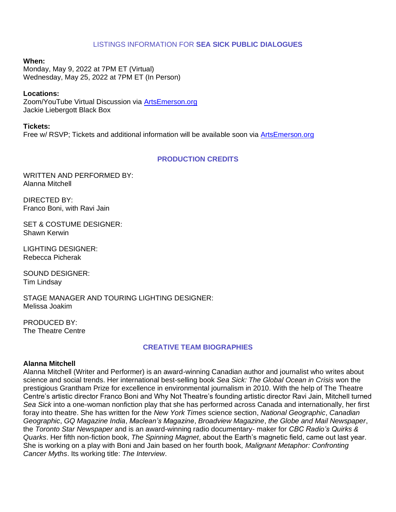# LISTINGS INFORMATION FOR **SEA SICK PUBLIC DIALOGUES**

# **When:**

Monday, May 9, 2022 at 7PM ET (Virtual) Wednesday, May 25, 2022 at 7PM ET (In Person)

# **Locations:**

Zoom/YouTube Virtual Discussion via [ArtsEmerson.org](http://artsemerson.org/) Jackie Liebergott Black Box

### **Tickets:**

Free w/ RSVP; Tickets and additional information will be available soon via [ArtsEmerson.org](http://artsemerson.org/)

# **PRODUCTION CREDITS**

WRITTEN AND PERFORMED BY: Alanna Mitchell

DIRECTED BY: Franco Boni, with Ravi Jain

SET & COSTUME DESIGNER: Shawn Kerwin

LIGHTING DESIGNER: Rebecca Picherak

SOUND DESIGNER: Tim Lindsay

STAGE MANAGER AND TOURING LIGHTING DESIGNER: Melissa Joakim

PRODUCED BY: The Theatre Centre

# **CREATIVE TEAM BIOGRAPHIES**

### **Alanna Mitchell**

Alanna Mitchell (Writer and Performer) is an award-winning Canadian author and journalist who writes about science and social trends. Her international best-selling book *Sea Sick: The Global Ocean in Crisis* won the prestigious Grantham Prize for excellence in environmental journalism in 2010. With the help of The Theatre Centre's artistic director Franco Boni and Why Not Theatre's founding artistic director Ravi Jain, Mitchell turned *Sea Sick* into a one-woman nonfiction play that she has performed across Canada and internationally, her first foray into theatre. She has written for the *New York Times* science section, *National Geographic*, *Canadian Geographic*, *GQ Magazine India*, *Maclean's Magazine*, *Broadview Magazine*, *the Globe and Mail Newspaper*, the *Toronto Star Newspaper* and is an award-winning radio documentary- maker for *CBC Radio's Quirks & Quarks*. Her fifth non-fiction book, *The Spinning Magnet*, about the Earth's magnetic field, came out last year. She is working on a play with Boni and Jain based on her fourth book*, Malignant Metaphor: Confronting Cancer Myths*. Its working title: *The Interview*.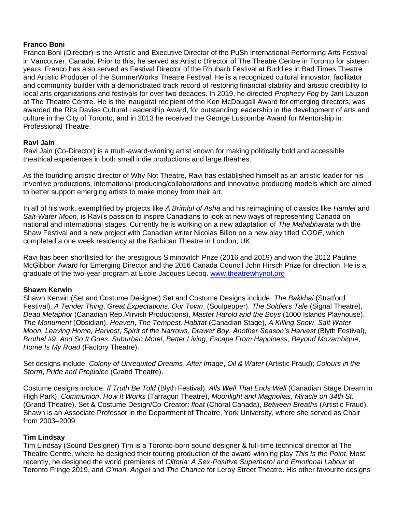# **Franco Boni**

Franco Boni (Director) is the Artistic and Executive Director of the PuSh International Performing Arts Festival in Vancouver, Canada. Prior to this, he served as Artistic Director of The Theatre Centre in Toronto for sixteen years. Franco has also served as Festival Director of the Rhubarb Festival at Buddies in Bad Times Theatre and Artistic Producer of the SummerWorks Theatre Festival. He is a recognized cultural innovator, facilitator and community builder with a demonstrated track record of restoring financial stability and artistic credibility to local arts organizations and festivals for over two decades. In 2019, he directed *Prophecy Fog* by Jani Lauzon at The Theatre Centre. He is the inaugural recipient of the Ken McDougall Award for emerging directors, was awarded the Rita Davies Cultural Leadership Award, for outstanding leadership in the development of arts and culture in the City of Toronto, and in 2013 he received the George Luscombe Award for Mentorship in Professional Theatre.

# **Ravi Jain**

Ravi Jain (Co-Director) is a multi-award-winning artist known for making politically bold and accessible theatrical experiences in both small indie productions and large theatres.

As the founding artistic director of Why Not Theatre, Ravi has established himself as an artistic leader for his inventive productions, international producing/collaborations and innovative producing models which are aimed to better support emerging artists to make money from their art.

In all of his work, exemplified by projects like *A Brimful of Asha* and his reimagining of classics like *Hamlet* and *Salt-Water Moon*, is Ravi's passion to inspire Canadians to look at new ways of representing Canada on national and international stages. Currently he is working on a new adaptation of *The Mahabharata* with the Shaw Festival and a new project with Canadian writer Nicolas Billon on a new play titled *CODE*, which completed a one week residency at the Barbican Theatre in London, UK.

Ravi has been shortlisted for the prestigious Siminovitch Prize (2016 and 2019) and won the 2012 Pauline McGibbon Award for Emerging Director and the 2016 Canada Council John Hirsch Prize for direction. He is a graduate of the two-year program at École Jacques Lecoq. [www.theatrewhynot.org](http://www.theatrewhynot.org/)

### **Shawn Kerwin**

Shawn Kerwin (Set and Costume Designer) Set and Costume Designs include: *The Bakkhai* (Stratford Festival), *A Tender Thing*, *Great Expectations*, *Our Town*, (Soulpepper), *The Soldiers Tale* (Signal Theatre), *Dead Metaphor* (Canadian Rep.Mirvish Productions), *Master Harold and the Boys* (1000 Islands Playhouse), *The Monument* (Obsidian), *Heaven*, *The Tempest, Habitat* (Canadian Stage), *A Killing Snow*, *Salt Water Moon, Leaving Home, Harvest*, *Spirit of the Narrows*, *Drawer Boy*, *Another Season's Harvest* (Blyth Festival), *Brothel #9*, *And So It Goes*, *Suburban Motel*, *Better Living, Escape From Happiness*, *Beyond Mozambique*, *Home Is My Road* (Factory Theatre).

Set designs include: *Colony of Unrequited Dreams*, *After Image*, *Oil & Water* (Artistic Fraud); *Colours in the Storm*, *Pride and Prejudice* (Grand Theatre).

Costume designs include: *If Truth Be Told* (Blyth Festival), *Alls Well That Ends Well* (Canadian Stage Dream in High Park), *Communion*, *How It Works* (Tarragon Theatre), *Moonlight and Magnolias*, *Miracle on 34th St.* (Grand Theatre). Set & Costume Design/Co-Creator: *float* (Choral Canada), *Between Breaths* (Artistic Fraud). Shawn is an Associate Professor in the Department of Theatre, York University, where she served as Chair from 2003–2009.

### **Tim Lindsay**

Tim Lindsay (Sound Designer) Tim is a Toronto-born sound designer & full-time technical director at The Theatre Centre, where he designed their touring production of the award-winning play *This Is the Point*. Most recently, he designed the world premieres of *Clitoria: A Sex-Positive Superhero!* and *Emotional Labour* at Toronto Fringe 2019, and *C'mon, Angie!* and *The Chance* for Leroy Street Theatre. His other favourite designs